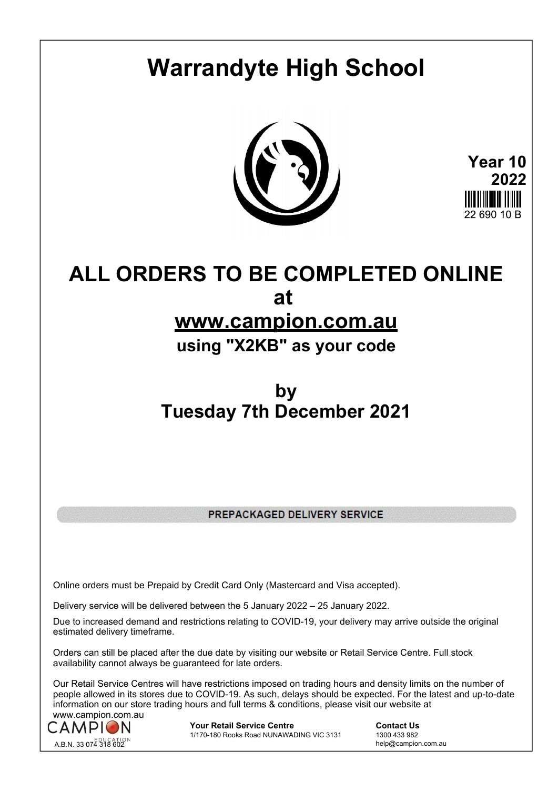# **Warrandyte High School**



**Year 10 2022** 22.690.10 B

## **ALL ORDERS TO BE COMPLETED ONLINE at**

#### **www.campion.com.au**

#### **using "X2KB" as your code**

### **by Tuesday 7th December 2021**

PREPACKAGED DELIVERY SERVICE

Online orders must be Prepaid by Credit Card Only (Mastercard and Visa accepted).

Delivery service will be delivered between the 5 January 2022 – 25 January 2022.

Due to increased demand and restrictions relating to COVID-19, your delivery may arrive outside the original estimated delivery timeframe.

Orders can still be placed after the due date by visiting our website or Retail Service Centre. Full stock availability cannot always be guaranteed for late orders.

Our Retail Service Centres will have restrictions imposed on trading hours and density limits on the number of people allowed in its stores due to COVID-19. As such, delays should be expected. For the latest and up-to-date information on our store trading hours and full terms & conditions, please visit our website at www.campion.com.au



**Your Retail Service Centre**  Contact Us<br>1/170-180 Rooks Road NUNAWADING VIC 3131 1300 433 982 1/170-180 Rooks Road NUNAWADING VIC 3131

help@campion.com.au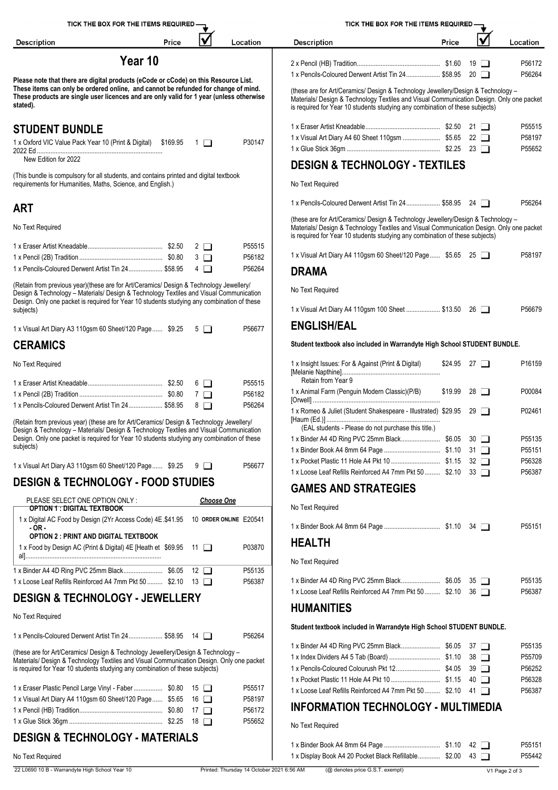|                                                                      | TICK THE BOX FOR THE ITEMS REQUIRED-                                                                                                                                              |                       |                   |                  | TICK THE BOX FOR THE ITEMS REQUIRED -                                                                                                                                                                                                                        |       |                    |                  |
|----------------------------------------------------------------------|-----------------------------------------------------------------------------------------------------------------------------------------------------------------------------------|-----------------------|-------------------|------------------|--------------------------------------------------------------------------------------------------------------------------------------------------------------------------------------------------------------------------------------------------------------|-------|--------------------|------------------|
| <b>Description</b>                                                   |                                                                                                                                                                                   | Price                 |                   | Location         | <b>Description</b>                                                                                                                                                                                                                                           | Price | $\checkmark$       | Location         |
|                                                                      | Year 10                                                                                                                                                                           |                       |                   |                  |                                                                                                                                                                                                                                                              |       |                    | P56172           |
|                                                                      |                                                                                                                                                                                   |                       |                   |                  | 1 x Pencils-Coloured Derwent Artist Tin 24 \$58.95 20                                                                                                                                                                                                        |       |                    | P56264           |
|                                                                      | Please note that there are digital products (eCode or cCode) on this Resource List.<br>These items can only be ordered online, and cannot be refunded for change of mind.         |                       |                   |                  | (these are for Art/Ceramics/ Design & Technology Jewellery/Design & Technology -                                                                                                                                                                             |       |                    |                  |
| stated).                                                             | These products are single user licences and are only valid for 1 year (unless otherwise                                                                                           |                       |                   |                  | Materials/ Design & Technology Textiles and Visual Communication Design. Only one packet<br>is required for Year 10 students studying any combination of these subjects)                                                                                     |       |                    |                  |
| <b>STUDENT BUNDLE</b>                                                |                                                                                                                                                                                   |                       |                   |                  |                                                                                                                                                                                                                                                              |       |                    | P55515           |
| 1 x Oxford VIC Value Pack Year 10 (Print & Digital) \$169.95 1       |                                                                                                                                                                                   |                       |                   | P30147           | 1 x Visual Art Diary A4 60 Sheet 110gsm  \$5.65 22                                                                                                                                                                                                           |       |                    | P58197           |
|                                                                      |                                                                                                                                                                                   |                       |                   |                  |                                                                                                                                                                                                                                                              |       |                    | P55652           |
| New Edition for 2022                                                 |                                                                                                                                                                                   |                       |                   |                  | <b>DESIGN &amp; TECHNOLOGY - TEXTILES</b>                                                                                                                                                                                                                    |       |                    |                  |
|                                                                      | (This bundle is compulsory for all students, and contains printed and digital textbook<br>requirements for Humanities, Maths, Science, and English.)                              |                       |                   |                  | No Text Required                                                                                                                                                                                                                                             |       |                    |                  |
| <b>ART</b>                                                           |                                                                                                                                                                                   |                       |                   |                  | 1 x Pencils-Coloured Derwent Artist Tin 24 \$58.95 24                                                                                                                                                                                                        |       |                    | P56264           |
| No Text Required                                                     |                                                                                                                                                                                   |                       |                   |                  | (these are for Art/Ceramics/ Design & Technology Jewellery/Design & Technology -<br>Materials/ Design & Technology Textiles and Visual Communication Design. Only one packet<br>is required for Year 10 students studying any combination of these subjects) |       |                    |                  |
|                                                                      |                                                                                                                                                                                   | $2\square$            |                   | P55515           |                                                                                                                                                                                                                                                              |       |                    |                  |
|                                                                      |                                                                                                                                                                                   | $3\Box$               |                   | P56182           | 1 x Visual Art Diary A4 110gsm 60 Sheet/120 Page \$5.65 25                                                                                                                                                                                                   |       |                    | P58197           |
|                                                                      | 1 x Pencils-Coloured Derwent Artist Tin 24 \$58.95                                                                                                                                | $4\Box$               |                   | P56264           | <b>DRAMA</b>                                                                                                                                                                                                                                                 |       |                    |                  |
|                                                                      | (Retain from previous year)(these are for Art/Ceramics/ Design & Technology Jewellery/<br>Design & Technology - Materials/ Design & Technology Textiles and Visual Communication  |                       |                   |                  | No Text Required                                                                                                                                                                                                                                             |       |                    |                  |
| subjects)                                                            | Design. Only one packet is required for Year 10 students studying any combination of these                                                                                        |                       |                   |                  | 1 x Visual Art Diary A4 110gsm 100 Sheet  \$13.50 26                                                                                                                                                                                                         |       |                    | P56679           |
|                                                                      |                                                                                                                                                                                   |                       |                   | P56677           | <b>ENGLISH/EAL</b>                                                                                                                                                                                                                                           |       |                    |                  |
| <b>CERAMICS</b>                                                      | 1 x Visual Art Diary A3 110gsm 60 Sheet/120 Page  \$9.25 5                                                                                                                        |                       |                   |                  | Student textbook also included in Warrandyte High School STUDENT BUNDLE.                                                                                                                                                                                     |       |                    |                  |
| No Text Required                                                     |                                                                                                                                                                                   |                       |                   |                  | 1 x Insight Issues: For & Against (Print & Digital)                                                                                                                                                                                                          |       | $$24.95$ 27 $\Box$ | P16159           |
|                                                                      |                                                                                                                                                                                   |                       |                   |                  | Retain from Year 9                                                                                                                                                                                                                                           |       |                    |                  |
|                                                                      |                                                                                                                                                                                   | $6$ $\Box$            |                   | P55515           | 1 x Animal Farm (Penguin Modern Classic)(P/B)                                                                                                                                                                                                                |       | $$19.99$ 28 $\Box$ | P00084           |
|                                                                      | 1 x Pencils-Coloured Derwent Artist Tin 24 \$58.95                                                                                                                                | $7\Box$<br>$8$ $\Box$ |                   | P56182<br>P56264 |                                                                                                                                                                                                                                                              |       |                    |                  |
|                                                                      |                                                                                                                                                                                   |                       |                   |                  | 1 x Romeo & Juliet (Student Shakespeare - Illustrated) \$29.95 29                                                                                                                                                                                            |       |                    | P02461           |
|                                                                      | (Retain from previous year) (these are for Art/Ceramics/ Design & Technology Jewellery/<br>Design & Technology - Materials/ Design & Technology Textiles and Visual Communication |                       |                   |                  | (EAL students - Please do not purchase this title.)                                                                                                                                                                                                          |       |                    |                  |
|                                                                      | Design. Only one packet is required for Year 10 students studying any combination of these                                                                                        |                       |                   |                  |                                                                                                                                                                                                                                                              |       |                    | P55135           |
| subjects)                                                            |                                                                                                                                                                                   |                       |                   |                  |                                                                                                                                                                                                                                                              |       |                    | P55151           |
|                                                                      | 1 x Visual Art Diary A3 110gsm 60 Sheet/120 Page  \$9.25 9 $\Box$                                                                                                                 |                       |                   | P56677           |                                                                                                                                                                                                                                                              |       |                    | P56328           |
|                                                                      |                                                                                                                                                                                   |                       |                   |                  | 1 x Loose Leaf Refills Reinforced A4 7mm Pkt 50  \$2.10 33                                                                                                                                                                                                   |       |                    | P56387           |
|                                                                      | <b>DESIGN &amp; TECHNOLOGY - FOOD STUDIES</b>                                                                                                                                     |                       |                   |                  | <b>GAMES AND STRATEGIES</b>                                                                                                                                                                                                                                  |       |                    |                  |
| PLEASE SELECT ONE OPTION ONLY :<br><b>OPTION 1: DIGITAL TEXTBOOK</b> |                                                                                                                                                                                   |                       | <b>Choose One</b> |                  | No Text Required                                                                                                                                                                                                                                             |       |                    |                  |
| - OR -                                                               | 1 x Digital AC Food by Design (2Yr Access Code) 4E.\$41.95 10 ORDER ONLINE E20541                                                                                                 |                       |                   |                  |                                                                                                                                                                                                                                                              |       |                    | P55151           |
|                                                                      | <b>OPTION 2: PRINT AND DIGITAL TEXTBOOK</b><br>1 x Food by Design AC (Print & Digital) 4E [Heath et \$69.95 11                                                                    |                       |                   | P03870           | <b>HEALTH</b>                                                                                                                                                                                                                                                |       |                    |                  |
|                                                                      |                                                                                                                                                                                   |                       |                   |                  | No Text Required                                                                                                                                                                                                                                             |       |                    |                  |
|                                                                      |                                                                                                                                                                                   |                       |                   | P55135           |                                                                                                                                                                                                                                                              |       |                    |                  |
|                                                                      | 1 x Loose Leaf Refills Reinforced A4 7mm Pkt 50  \$2.10 13                                                                                                                        |                       |                   | P56387           | 1 x Loose Leaf Refills Reinforced A4 7mm Pkt 50  \$2.10 36                                                                                                                                                                                                   |       |                    | P55135<br>P56387 |
|                                                                      | <b>DESIGN &amp; TECHNOLOGY - JEWELLERY</b>                                                                                                                                        |                       |                   |                  | <b>HUMANITIES</b>                                                                                                                                                                                                                                            |       |                    |                  |
| No Text Required                                                     |                                                                                                                                                                                   |                       |                   |                  | Student textbook included in Warrandyte High School STUDENT BUNDLE.                                                                                                                                                                                          |       |                    |                  |
|                                                                      | 1 x Pencils-Coloured Derwent Artist Tin 24 \$58.95 14                                                                                                                             |                       |                   | P56264           |                                                                                                                                                                                                                                                              |       |                    |                  |
|                                                                      | (these are for Art/Ceramics/ Design & Technology Jewellery/Design & Technology -                                                                                                  |                       |                   |                  |                                                                                                                                                                                                                                                              |       |                    | P55135           |
|                                                                      | Materials/ Design & Technology Textiles and Visual Communication Design. Only one packet                                                                                          |                       |                   |                  |                                                                                                                                                                                                                                                              |       |                    | P55709<br>P56252 |
|                                                                      | is required for Year 10 students studying any combination of these subjects)                                                                                                      |                       |                   |                  |                                                                                                                                                                                                                                                              |       |                    | P56328           |
| 1 x Eraser Plastic Pencil Large Vinyl - Faber  \$0.80 15             |                                                                                                                                                                                   |                       |                   | P55517           | 1 x Loose Leaf Refills Reinforced A4 7mm Pkt 50  \$2.10 41                                                                                                                                                                                                   |       |                    | P56387           |
| 1 x Visual Art Diary A4 110gsm 60 Sheet/120 Page  \$5.65 16          |                                                                                                                                                                                   |                       |                   | P58197           |                                                                                                                                                                                                                                                              |       |                    |                  |
|                                                                      |                                                                                                                                                                                   |                       |                   | P56172           | <b>INFORMATION TECHNOLOGY - MULTIMEDIA</b>                                                                                                                                                                                                                   |       |                    |                  |
|                                                                      |                                                                                                                                                                                   |                       |                   | P55652           | No Text Required                                                                                                                                                                                                                                             |       |                    |                  |
|                                                                      | <b>DESIGN &amp; TECHNOLOGY - MATERIALS</b>                                                                                                                                        |                       |                   |                  |                                                                                                                                                                                                                                                              |       |                    |                  |
|                                                                      |                                                                                                                                                                                   |                       |                   |                  | 1 x Display Book A4 20 Pocket Black Refillable \$2.00 43                                                                                                                                                                                                     |       |                    | P55151<br>P55442 |
| No Text Required                                                     |                                                                                                                                                                                   |                       |                   |                  |                                                                                                                                                                                                                                                              |       |                    |                  |

22 L0690 10 B - Warrandyte High School Year 10 Printed: Thursday 14 October 2021 6:56 AM (@ denotes price G.S.T. exempt) V1 Page 2 of 3